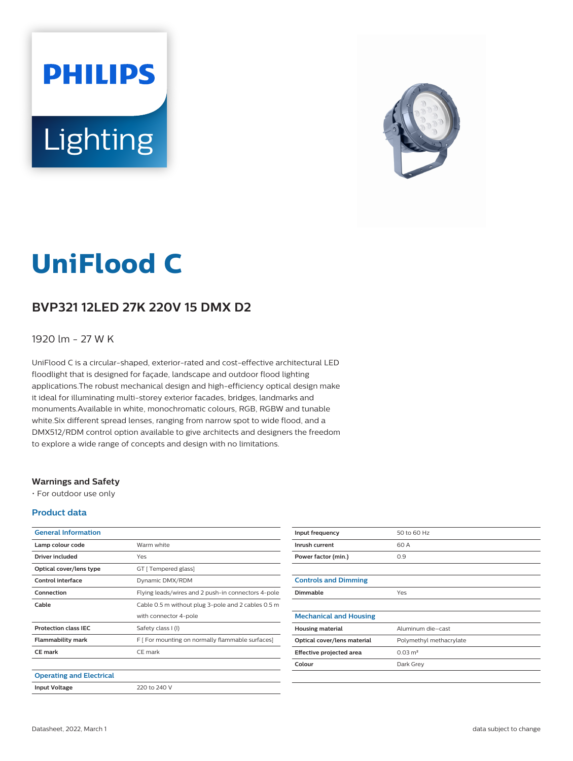# **PHILIPS** Lighting



# **UniFlood C**

## **BVP321 12LED 27K 220V 15 DMX D2**

#### 1920 lm - 27 W K

UniFlood C is a circular-shaped, exterior-rated and cost-effective architectural LED floodlight that is designed for façade, landscape and outdoor flood lighting applications.The robust mechanical design and high-efficiency optical design make it ideal for illuminating multi-storey exterior facades, bridges, landmarks and monuments.Available in white, monochromatic colours, RGB, RGBW and tunable white.Six different spread lenses, ranging from narrow spot to wide flood, and a DMX512/RDM control option available to give architects and designers the freedom to explore a wide range of concepts and design with no limitations.

#### **Warnings and Safety**

• For outdoor use only

#### **Product data**

| <b>General Information</b>      |                                                    |
|---------------------------------|----------------------------------------------------|
| Lamp colour code                | Warm white                                         |
| Driver included                 | Yes                                                |
| Optical cover/lens type         | GT [ Tempered glass]                               |
| Control interface               | Dynamic DMX/RDM                                    |
| Connection                      | Flying leads/wires and 2 push-in connectors 4-pole |
| Cable                           | Cable 0.5 m without plug 3-pole and 2 cables 0.5 m |
|                                 | with connector 4-pole                              |
| <b>Protection class IEC</b>     | Safety class I (I)                                 |
| <b>Flammability mark</b>        | F [ For mounting on normally flammable surfaces]   |
| <b>CE</b> mark                  | CE mark                                            |
|                                 |                                                    |
| <b>Operating and Electrical</b> |                                                    |
| <b>Input Voltage</b>            | 220 to 240 V                                       |

| Input frequency               | 50 to 60 Hz             |
|-------------------------------|-------------------------|
| Inrush current                | 60 A                    |
| Power factor (min.)           | 0.9                     |
|                               |                         |
| <b>Controls and Dimming</b>   |                         |
| Dimmable                      | Yes                     |
|                               |                         |
| <b>Mechanical and Housing</b> |                         |
| <b>Housing material</b>       | Aluminum die-cast       |
| Optical cover/lens material   | Polymethyl methacrylate |
| Effective projected area      | $0.03 \text{ m}^2$      |
| Colour                        | Dark Grey               |
|                               |                         |